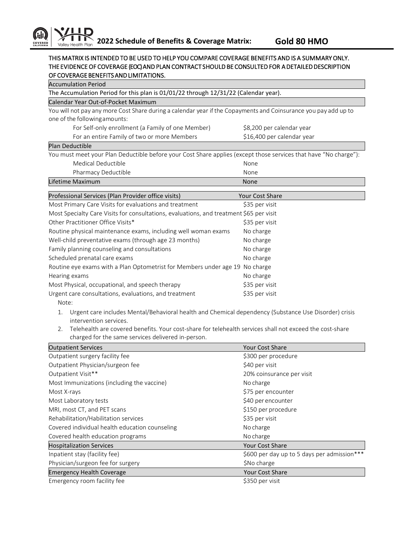## THIS MATRIX IS INTENDED TO BE USED TO HELP YOU COMPARE COVERAGE BENEFITS AND IS A SUMMARY ONLY. THE EVIDENCE OF COVERAGE (EOC) AND PLAN CONTRACT SHOULD BE CONSULTED FOR A DETAILED DESCRIPTION OF COVERAGE BENEFITS AND LIMITATIONS.

| <b>Accumulation Period</b>                                                                                       |                            |  |
|------------------------------------------------------------------------------------------------------------------|----------------------------|--|
| The Accumulation Period for this plan is 01/01/22 through 12/31/22 (Calendar year).                              |                            |  |
| Calendar Year Out-of-Pocket Maximum                                                                              |                            |  |
| You will not pay any more Cost Share during a calendar year if the Copayments and Coinsurance you pay add up to  |                            |  |
| one of the following amounts:                                                                                    |                            |  |
| For Self-only enrollment (a Family of one Member)                                                                | \$8,200 per calendar year  |  |
| For an entire Family of two or more Members                                                                      | \$16,400 per calendar year |  |
| Plan Deductible                                                                                                  |                            |  |
| You must meet your Plan Deductible before your Cost Share applies (except those services that have "No charge"): |                            |  |
| Medical Deductible                                                                                               | None                       |  |
| Pharmacy Deductible                                                                                              | None                       |  |
| Lifetime Maximum                                                                                                 | None                       |  |
| Professional Services (Plan Provider office visits)                                                              | <b>Your Cost Share</b>     |  |
| Most Primary Care Visits for evaluations and treatment                                                           | \$35 per visit             |  |
| Most Specialty Care Visits for consultations, evaluations, and treatment \$65 per visit                          |                            |  |
| Other Practitioner Office Visits*                                                                                | \$35 per visit             |  |
| Routine physical maintenance exams, including well woman exams                                                   | No charge                  |  |
| Well-child preventative exams (through age 23 months)                                                            | No charge                  |  |
| Family planning counseling and consultations                                                                     | No charge                  |  |
| Scheduled prenatal care exams                                                                                    | No charge                  |  |
| Routine eye exams with a Plan Optometrist for Members under age 19                                               | No charge                  |  |
| Hearing exams                                                                                                    | No charge                  |  |
| Most Physical, occupational, and speech therapy                                                                  | \$35 per visit             |  |
| Urgent care consultations, evaluations, and treatment                                                            | \$35 per visit             |  |
| Note:                                                                                                            |                            |  |

- 1. Urgent care includes Mental/Behavioral health and Chemical dependency (Substance Use Disorder) crisis intervention services.
- 2. Telehealth are covered benefits. Your cost-share for telehealth services shall not exceed the cost-share charged for the same services delivered in-person.

| <b>Outpatient Services</b>                     | <b>Your Cost Share</b>                      |
|------------------------------------------------|---------------------------------------------|
| Outpatient surgery facility fee                | \$300 per procedure                         |
| Outpatient Physician/surgeon fee               | \$40 per visit                              |
| Outpatient Visit**                             | 20% coinsurance per visit                   |
| Most Immunizations (including the vaccine)     | No charge                                   |
| Most X-rays                                    | \$75 per encounter                          |
| Most Laboratory tests                          | \$40 per encounter                          |
| MRI, most CT, and PET scans                    | \$150 per procedure                         |
| Rehabilitation/Habilitation services           | \$35 per visit                              |
| Covered individual health education counseling | No charge                                   |
| Covered health education programs              | No charge                                   |
| <b>Hospitalization Services</b>                | <b>Your Cost Share</b>                      |
| Inpatient stay (facility fee)                  | \$600 per day up to 5 days per admission*** |
| Physician/surgeon fee for surgery              | \$No charge                                 |
| <b>Emergency Health Coverage</b>               | Your Cost Share                             |
| Emergency room facility fee                    | \$350 per visit                             |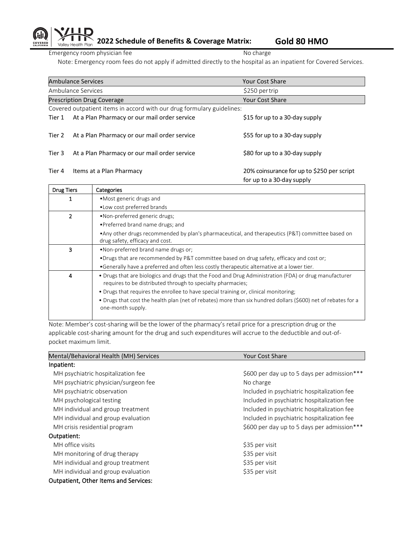**2022 Schedule of Benefits & Coverage Matrix: Gold 80 HMO** Valley Health Plan

Emergency room physician fee No charge No charge

COVERED

Note: Emergency room fees do not apply if admitted directly to the hospital as an inpatient for Covered Services.

|                                                                        | <b>Ambulance Services</b>                    | <b>Your Cost Share</b>                     |
|------------------------------------------------------------------------|----------------------------------------------|--------------------------------------------|
|                                                                        | Ambulance Services                           | \$250 per trip                             |
|                                                                        | <b>Prescription Drug Coverage</b>            | Your Cost Share                            |
| Covered outpatient items in accord with our drug formulary guidelines: |                                              |                                            |
| Tier 1                                                                 | At a Plan Pharmacy or our mail order service | \$15 for up to a 30-day supply             |
|                                                                        |                                              |                                            |
| Tier 2                                                                 | At a Plan Pharmacy or our mail order service | \$55 for up to a 30-day supply             |
|                                                                        |                                              |                                            |
| Tier 3                                                                 | At a Plan Pharmacy or our mail order service | \$80 for up to a 30-day supply             |
|                                                                        |                                              |                                            |
| Tier 4                                                                 | Items at a Plan Pharmacy                     | 20% coinsurance for up to \$250 per script |
|                                                                        |                                              | for up to a 30-day supply                  |

| Categories                                                                                                                                                                                                                                                                                                                                                                                         |  |
|----------------------------------------------------------------------------------------------------------------------------------------------------------------------------------------------------------------------------------------------------------------------------------------------------------------------------------------------------------------------------------------------------|--|
| • Most generic drugs and                                                                                                                                                                                                                                                                                                                                                                           |  |
| • Low cost preferred brands                                                                                                                                                                                                                                                                                                                                                                        |  |
| •Non-preferred generic drugs;                                                                                                                                                                                                                                                                                                                                                                      |  |
| • Preferred brand name drugs; and                                                                                                                                                                                                                                                                                                                                                                  |  |
| • Any other drugs recommended by plan's pharmaceutical, and therapeutics (P&T) committee based on<br>drug safety, efficacy and cost.                                                                                                                                                                                                                                                               |  |
| . Non-preferred brand name drugs or;                                                                                                                                                                                                                                                                                                                                                               |  |
| •Drugs that are recommended by P&T committee based on drug safety, efficacy and cost or;                                                                                                                                                                                                                                                                                                           |  |
| •Generally have a preferred and often less costly therapeutic alternative at a lower tier.                                                                                                                                                                                                                                                                                                         |  |
| • Drugs that are biologics and drugs that the Food and Drug Administration (FDA) or drug manufacturer<br>requires to be distributed through to specialty pharmacies;<br>• Drugs that requires the enrollee to have special training or, clinical monitoring;<br>• Drugs that cost the health plan (net of rebates) more than six hundred dollars (\$600) net of rebates for a<br>one-month supply. |  |
|                                                                                                                                                                                                                                                                                                                                                                                                    |  |

Note: Member's cost-sharing will be the lower of the pharmacy's retail price for a prescription drug or the applicable cost-sharing amount for the drug and such expenditures will accrue to the deductible and out-ofpocket maximum limit.

| Mental/Behavioral Health (MH) Services       | <b>Your Cost Share</b>                      |
|----------------------------------------------|---------------------------------------------|
| Inpatient:                                   |                                             |
| MH psychiatric hospitalization fee           | \$600 per day up to 5 days per admission*** |
| MH psychiatric physician/surgeon fee         | No charge                                   |
| MH psychiatric observation                   | Included in psychiatric hospitalization fee |
| MH psychological testing                     | Included in psychiatric hospitalization fee |
| MH individual and group treatment            | Included in psychiatric hospitalization fee |
| MH individual and group evaluation           | Included in psychiatric hospitalization fee |
| MH crisis residential program                | \$600 per day up to 5 days per admission*** |
| Outpatient:                                  |                                             |
| MH office visits                             | \$35 per visit                              |
| MH monitoring of drug therapy                | \$35 per visit                              |
| MH individual and group treatment            | \$35 per visit                              |
| MH individual and group evaluation           | \$35 per visit                              |
| <b>Outpatient, Other Items and Services:</b> |                                             |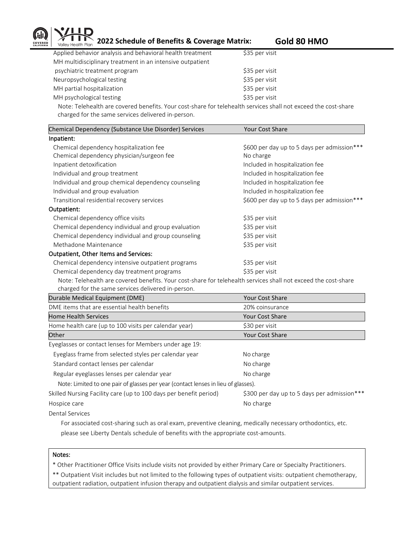

**2022 Schedule of Benefits & Coverage Matrix:** Gold 80 HMO

| Applied behavior analysis and behavioral health treatment                                                      | \$35 per visit |
|----------------------------------------------------------------------------------------------------------------|----------------|
| MH multidisciplinary treatment in an intensive outpatient                                                      |                |
| psychiatric treatment program                                                                                  | \$35 per visit |
| Neuropsychological testing                                                                                     | \$35 per visit |
| MH partial hospitalization                                                                                     | \$35 per visit |
| MH psychological testing                                                                                       | \$35 per visit |
| Note: Telehealth are covered benefits. Your cost-share for telehealth services shall not exceed the cost-share |                |

charged for the same services delivered in-person.

| Chemical Dependency (Substance Use Disorder) Services                                                          | <b>Your Cost Share</b>                      |
|----------------------------------------------------------------------------------------------------------------|---------------------------------------------|
| Inpatient:                                                                                                     |                                             |
| Chemical dependency hospitalization fee                                                                        | \$600 per day up to 5 days per admission*** |
| Chemical dependency physician/surgeon fee                                                                      | No charge                                   |
| Inpatient detoxification                                                                                       | Included in hospitalization fee             |
| Individual and group treatment                                                                                 | Included in hospitalization fee             |
| Individual and group chemical dependency counseling                                                            | Included in hospitalization fee             |
| Individual and group evaluation                                                                                | Included in hospitalization fee             |
| Transitional residential recovery services                                                                     | \$600 per day up to 5 days per admission*** |
| Outpatient:                                                                                                    |                                             |
| Chemical dependency office visits                                                                              | \$35 per visit                              |
| Chemical dependency individual and group evaluation                                                            | \$35 per visit                              |
| Chemical dependency individual and group counseling                                                            | \$35 per visit                              |
| Methadone Maintenance                                                                                          | \$35 per visit                              |
| Outpatient, Other Items and Services:                                                                          |                                             |
| Chemical dependency intensive outpatient programs                                                              | \$35 per visit                              |
| Chemical dependency day treatment programs                                                                     | \$35 per visit                              |
| Note: Telehealth are covered benefits. Your cost-share for telehealth services shall not exceed the cost-share |                                             |

 Note: Telehealth are covered benefits. Your cost-share for telehealth services shall not exceed the cost-share charged for the same services delivered in-person.

| Durable Medical Equipment (DME)                                                    | <b>Your Cost Share</b>                      |
|------------------------------------------------------------------------------------|---------------------------------------------|
| DME items that are essential health benefits                                       | 20% coinsurance                             |
| <b>Home Health Services</b>                                                        | <b>Your Cost Share</b>                      |
| Home health care (up to 100 visits per calendar year)                              | \$30 per visit                              |
| Other                                                                              | <b>Your Cost Share</b>                      |
| Eyeglasses or contact lenses for Members under age 19:                             |                                             |
| Eyeglass frame from selected styles per calendar year                              | No charge                                   |
| Standard contact lenses per calendar                                               | No charge                                   |
| Regular eyeglasses lenses per calendar year                                        | No charge                                   |
| Note: Limited to one pair of glasses per year (contact lenses in lieu of glasses). |                                             |
| Skilled Nursing Facility care (up to 100 days per benefit period)                  | \$300 per day up to 5 days per admission*** |
| Hospice care                                                                       | No charge                                   |
| Dontal Compagn                                                                     |                                             |

Dental Services

 For associated cost-sharing such as oral exam, preventive cleaning, medically necessary orthodontics, etc. please see Liberty Dentals schedule of benefits with the appropriate cost-amounts.

## Notes:

\* Other Practitioner Office Visits include visits not provided by either Primary Care or Specialty Practitioners.

\*\* Outpatient Visit includes but not limited to the following types of outpatient visits: outpatient chemotherapy, outpatient radiation, outpatient infusion therapy and outpatient dialysis and similar outpatient services.